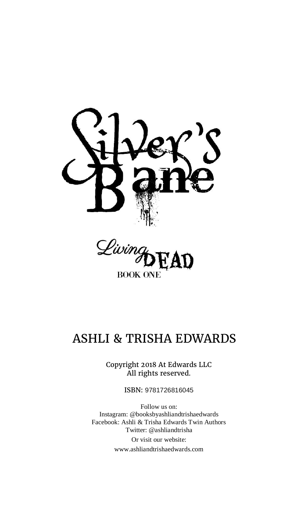



# ASHLI & TRISHA EDWARDS

Copyright 2018 At Edwards LLC All rights reserved.

ISBN: 9781726816045

Follow us on: Instagram: @booksbyashliandtrishaedwards Facebook: Ashli & Trisha Edwards Twin Authors Twitter: @ashliandtrisha Or visit our website: www.ashliandtrishaedwards.com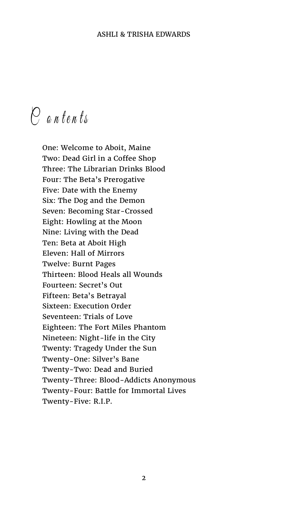$\stackrel{\frown}{C}$  antents

One: Welcome to Aboit, Maine Two: Dead Girl in a Coffee Shop Three: The Librarian Drinks Blood Four: The Beta's Prerogative Five: Date with the Enemy Six: The Dog and the Demon Seven: Becoming Star-Crossed Eight: Howling at the Moon Nine: Living with the Dead Ten: Beta at Aboit High Eleven: Hall of Mirrors Twelve: Burnt Pages Thirteen: Blood Heals all Wounds Fourteen: Secret's Out Fifteen: Beta's Betrayal Sixteen: Execution Order Seventeen: Trials of Love Eighteen: The Fort Miles Phantom Nineteen: Night-life in the City Twenty: Tragedy Under the Sun Twenty-One: Silver's Bane Twenty-Two: Dead and Buried Twenty-Three: Blood-Addicts Anonymous Twenty-Four: Battle for Immortal Lives Twenty-Five: R.I.P.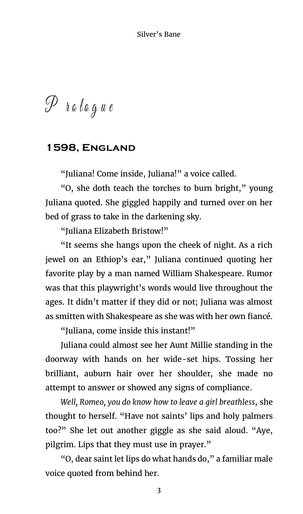$\mathscr{P}$  hologue

# **1598, England**

"Juliana! Come inside, Juliana!" a voice called.

"O, she doth teach the torches to burn bright," young Juliana quoted. She giggled happily and turned over on her bed of grass to take in the darkening sky.

"Juliana Elizabeth Bristow!"

"It seems she hangs upon the cheek of night. As a rich jewel on an Ethiop's ear," Juliana continued quoting her favorite play by a man named William Shakespeare. Rumor was that this playwright's words would live throughout the ages. It didn't matter if they did or not; Juliana was almost as smitten with Shakespeare as she was with her own fiancé.

"Juliana, come inside this instant!"

Juliana could almost see her Aunt Millie standing in the doorway with hands on her wide-set hips. Tossing her brilliant, auburn hair over her shoulder, she made no attempt to answer or showed any signs of compliance.

*Well, Romeo, you do know how to leave a girl breathless*, she thought to herself. "Have not saints' lips and holy palmers too?" She let out another giggle as she said aloud. "Aye, pilgrim. Lips that they must use in prayer."

"O, dear saint let lips do what hands do," a familiar male voice quoted from behind her.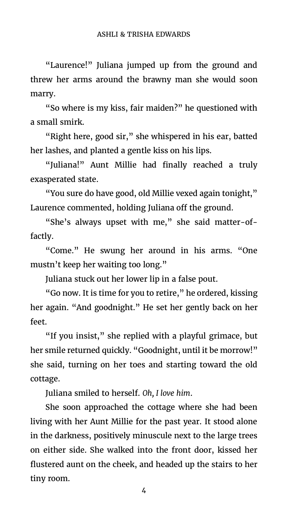"Laurence!" Juliana jumped up from the ground and threw her arms around the brawny man she would soon marry.

"So where is my kiss, fair maiden?" he questioned with a small smirk.

"Right here, good sir," she whispered in his ear, batted her lashes, and planted a gentle kiss on his lips.

"Juliana!" Aunt Millie had finally reached a truly exasperated state.

"You sure do have good, old Millie vexed again tonight," Laurence commented, holding Juliana off the ground.

"She's always upset with me," she said matter-offactly.

"Come." He swung her around in his arms. "One mustn't keep her waiting too long."

Juliana stuck out her lower lip in a false pout.

"Go now. It is time for you to retire," he ordered, kissing her again. "And goodnight." He set her gently back on her feet.

"If you insist," she replied with a playful grimace, but her smile returned quickly. "Goodnight, until it be morrow!" she said, turning on her toes and starting toward the old cottage.

Juliana smiled to herself. *Oh, I love him*.

She soon approached the cottage where she had been living with her Aunt Millie for the past year. It stood alone in the darkness, positively minuscule next to the large trees on either side. She walked into the front door, kissed her flustered aunt on the cheek, and headed up the stairs to her tiny room.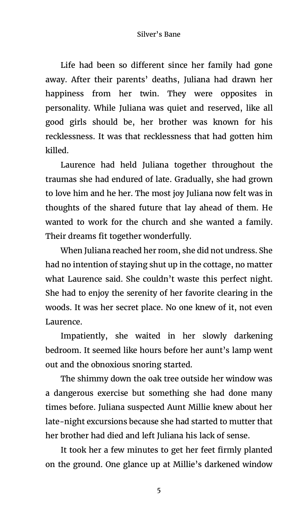Life had been so different since her family had gone away. After their parents' deaths, Juliana had drawn her happiness from her twin. They were opposites in personality. While Juliana was quiet and reserved, like all good girls should be, her brother was known for his recklessness. It was that recklessness that had gotten him killed.

Laurence had held Juliana together throughout the traumas she had endured of late. Gradually, she had grown to love him and he her. The most joy Juliana now felt was in thoughts of the shared future that lay ahead of them. He wanted to work for the church and she wanted a family. Their dreams fit together wonderfully.

When Juliana reached her room, she did not undress. She had no intention of staying shut up in the cottage, no matter what Laurence said. She couldn't waste this perfect night. She had to enjoy the serenity of her favorite clearing in the woods. It was her secret place. No one knew of it, not even Laurence.

Impatiently, she waited in her slowly darkening bedroom. It seemed like hours before her aunt's lamp went out and the obnoxious snoring started.

The shimmy down the oak tree outside her window was a dangerous exercise but something she had done many times before. Juliana suspected Aunt Millie knew about her late-night excursions because she had started to mutter that her brother had died and left Juliana his lack of sense.

It took her a few minutes to get her feet firmly planted on the ground. One glance up at Millie's darkened window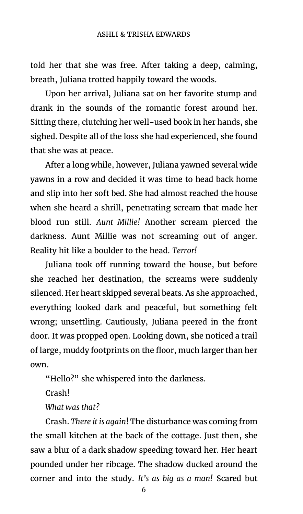told her that she was free. After taking a deep, calming, breath, Juliana trotted happily toward the woods.

Upon her arrival, Juliana sat on her favorite stump and drank in the sounds of the romantic forest around her. Sitting there, clutching her well-used book in her hands, she sighed. Despite all of the loss she had experienced, she found that she was at peace.

After a long while, however, Juliana yawned several wide yawns in a row and decided it was time to head back home and slip into her soft bed. She had almost reached the house when she heard a shrill, penetrating scream that made her blood run still. *Aunt Millie!* Another scream pierced the darkness. Aunt Millie was not screaming out of anger. Reality hit like a boulder to the head. *Terror!*

Juliana took off running toward the house, but before she reached her destination, the screams were suddenly silenced. Her heart skipped several beats. As she approached, everything looked dark and peaceful, but something felt wrong; unsettling. Cautiously, Juliana peered in the front door. It was propped open. Looking down, she noticed a trail of large, muddy footprints on the floor, much larger than her own.

"Hello?" she whispered into the darkness.

Crash!

*What was that?*

Crash. *There it is again*! The disturbance was coming from the small kitchen at the back of the cottage. Just then, she saw a blur of a dark shadow speeding toward her. Her heart pounded under her ribcage. The shadow ducked around the corner and into the study. *It's as big as a man!* Scared but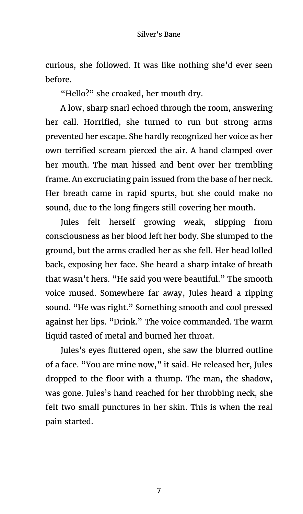curious, she followed. It was like nothing she'd ever seen before.

"Hello?" she croaked, her mouth dry.

A low, sharp snarl echoed through the room, answering her call. Horrified, she turned to run but strong arms prevented her escape. She hardly recognized her voice as her own terrified scream pierced the air. A hand clamped over her mouth. The man hissed and bent over her trembling frame. An excruciating pain issued from the base of her neck. Her breath came in rapid spurts, but she could make no sound, due to the long fingers still covering her mouth.

Jules felt herself growing weak, slipping from consciousness as her blood left her body. She slumped to the ground, but the arms cradled her as she fell. Her head lolled back, exposing her face. She heard a sharp intake of breath that wasn't hers. "He said you were beautiful." The smooth voice mused. Somewhere far away, Jules heard a ripping sound. "He was right." Something smooth and cool pressed against her lips. "Drink." The voice commanded. The warm liquid tasted of metal and burned her throat.

Jules's eyes fluttered open, she saw the blurred outline of a face. "You are mine now," it said. He released her, Jules dropped to the floor with a thump. The man, the shadow, was gone. Jules's hand reached for her throbbing neck, she felt two small punctures in her skin. This is when the real pain started.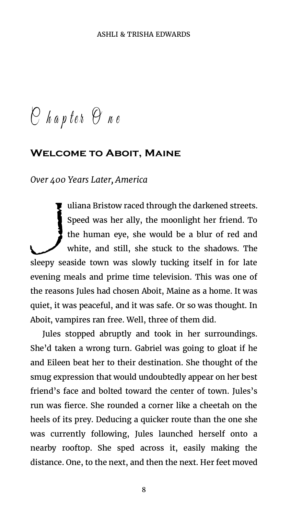$O$  hapter  $O$  ne

# **Welcome to Aboit, Maine**

*Over 400 Years Later, America*

uliana Bristow raced through the darkened streets. Speed was her ally, the moonlight her friend. To the human eye, she would be a blur of red and white, and still, she stuck to the shadows. The sleepy seaside town was slowly tucking itself in for late evening meals and prime time television. This was one of the reasons Jules had chosen Aboit, Maine as a home. It was quiet, it was peaceful, and it was safe. Or so was thought. In Aboit, vampires ran free. Well, three of them did. J

Jules stopped abruptly and took in her surroundings. She'd taken a wrong turn. Gabriel was going to gloat if he and Eileen beat her to their destination. She thought of the smug expression that would undoubtedly appear on her best friend's face and bolted toward the center of town. Jules's run was fierce. She rounded a corner like a cheetah on the heels of its prey. Deducing a quicker route than the one she was currently following, Jules launched herself onto a nearby rooftop. She sped across it, easily making the distance. One, to the next, and then the next. Her feet moved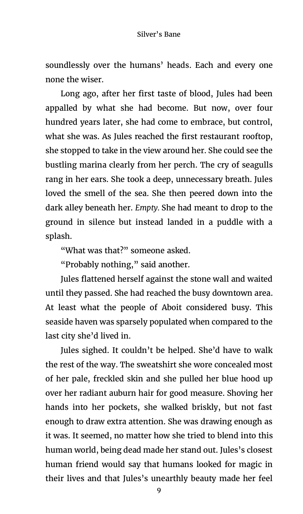soundlessly over the humans' heads. Each and every one none the wiser.

Long ago, after her first taste of blood, Jules had been appalled by what she had become. But now, over four hundred years later, she had come to embrace, but control, what she was. As Jules reached the first restaurant rooftop, she stopped to take in the view around her. She could see the bustling marina clearly from her perch. The cry of seagulls rang in her ears. She took a deep, unnecessary breath. Jules loved the smell of the sea. She then peered down into the dark alley beneath her. *Empty.* She had meant to drop to the ground in silence but instead landed in a puddle with a splash.

"What was that?" someone asked.

"Probably nothing," said another.

Jules flattened herself against the stone wall and waited until they passed. She had reached the busy downtown area. At least what the people of Aboit considered busy. This seaside haven was sparsely populated when compared to the last city she'd lived in.

Jules sighed. It couldn't be helped. She'd have to walk the rest of the way. The sweatshirt she wore concealed most of her pale, freckled skin and she pulled her blue hood up over her radiant auburn hair for good measure. Shoving her hands into her pockets, she walked briskly, but not fast enough to draw extra attention. She was drawing enough as it was. It seemed, no matter how she tried to blend into this human world, being dead made her stand out. Jules's closest human friend would say that humans looked for magic in their lives and that Jules's unearthly beauty made her feel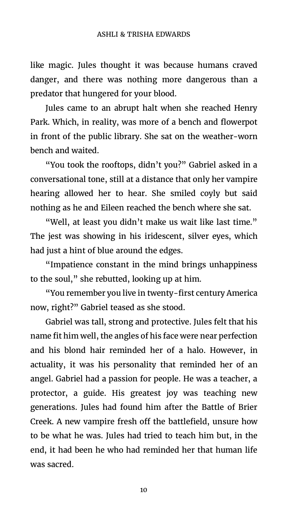like magic. Jules thought it was because humans craved danger, and there was nothing more dangerous than a predator that hungered for your blood.

Jules came to an abrupt halt when she reached Henry Park. Which, in reality, was more of a bench and flowerpot in front of the public library. She sat on the weather-worn bench and waited.

"You took the rooftops, didn't you?" Gabriel asked in a conversational tone, still at a distance that only her vampire hearing allowed her to hear. She smiled coyly but said nothing as he and Eileen reached the bench where she sat.

"Well, at least you didn't make us wait like last time." The jest was showing in his iridescent, silver eyes, which had just a hint of blue around the edges.

"Impatience constant in the mind brings unhappiness to the soul," she rebutted, looking up at him.

"You remember you live in twenty-first century America now, right?" Gabriel teased as she stood.

Gabriel was tall, strong and protective. Jules felt that his name fit him well, the angles of his face were near perfection and his blond hair reminded her of a halo. However, in actuality, it was his personality that reminded her of an angel. Gabriel had a passion for people. He was a teacher, a protector, a guide. His greatest joy was teaching new generations. Jules had found him after the Battle of Brier Creek. A new vampire fresh off the battlefield, unsure how to be what he was. Jules had tried to teach him but, in the end, it had been he who had reminded her that human life was sacred.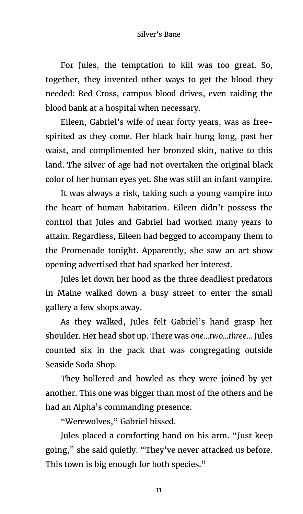### Silver's Bane

For Jules, the temptation to kill was too great. So, together, they invented other ways to get the blood they needed: Red Cross, campus blood drives, even raiding the blood bank at a hospital when necessary.

Eileen, Gabriel's wife of near forty years, was as freespirited as they come. Her black hair hung long, past her waist, and complimented her bronzed skin, native to this land. The silver of age had not overtaken the original black color of her human eyes yet. She was still an infant vampire.

It was always a risk, taking such a young vampire into the heart of human habitation. Eileen didn't possess the control that Jules and Gabriel had worked many years to attain. Regardless, Eileen had begged to accompany them to the Promenade tonight. Apparently, she saw an art show opening advertised that had sparked her interest.

Jules let down her hood as the three deadliest predators in Maine walked down a busy street to enter the small gallery a few shops away.

As they walked, Jules felt Gabriel's hand grasp her shoulder. Her head shot up. There was *one…two…three…* Jules counted six in the pack that was congregating outside Seaside Soda Shop.

They hollered and howled as they were joined by yet another. This one was bigger than most of the others and he had an Alpha's commanding presence.

"Werewolves," Gabriel hissed.

Jules placed a comforting hand on his arm. "Just keep going," she said quietly. "They've never attacked us before. This town is big enough for both species."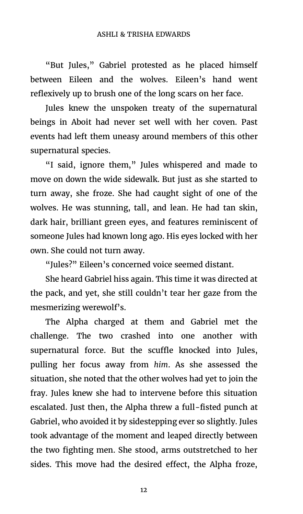"But Jules," Gabriel protested as he placed himself between Eileen and the wolves. Eileen's hand went reflexively up to brush one of the long scars on her face.

Jules knew the unspoken treaty of the supernatural beings in Aboit had never set well with her coven. Past events had left them uneasy around members of this other supernatural species.

"I said, ignore them," Jules whispered and made to move on down the wide sidewalk. But just as she started to turn away, she froze. She had caught sight of one of the wolves. He was stunning, tall, and lean. He had tan skin, dark hair, brilliant green eyes, and features reminiscent of someone Jules had known long ago. His eyes locked with her own. She could not turn away.

"Jules?" Eileen's concerned voice seemed distant.

She heard Gabriel hiss again. This time it was directed at the pack, and yet, she still couldn't tear her gaze from the mesmerizing werewolf's.

The Alpha charged at them and Gabriel met the challenge. The two crashed into one another with supernatural force. But the scuffle knocked into Jules, pulling her focus away from *him*. As she assessed the situation, she noted that the other wolves had yet to join the fray. Jules knew she had to intervene before this situation escalated. Just then, the Alpha threw a full-fisted punch at Gabriel, who avoided it by sidestepping ever so slightly. Jules took advantage of the moment and leaped directly between the two fighting men. She stood, arms outstretched to her sides. This move had the desired effect, the Alpha froze,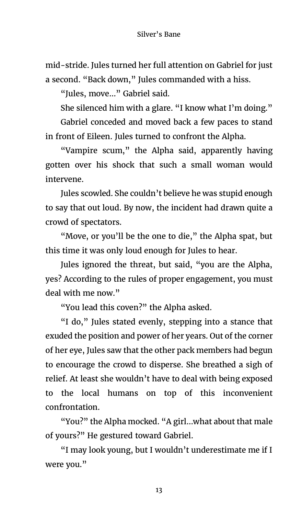mid-stride. Jules turned her full attention on Gabriel for just a second. "Back down," Jules commanded with a hiss.

"Jules, move…" Gabriel said.

She silenced him with a glare. "I know what I'm doing."

Gabriel conceded and moved back a few paces to stand in front of Eileen. Jules turned to confront the Alpha.

"Vampire scum," the Alpha said, apparently having gotten over his shock that such a small woman would intervene.

Jules scowled. She couldn't believe he was stupid enough to say that out loud. By now, the incident had drawn quite a crowd of spectators.

"Move, or you'll be the one to die," the Alpha spat, but this time it was only loud enough for Jules to hear.

Jules ignored the threat, but said, "you are the Alpha, yes? According to the rules of proper engagement, you must deal with me now."

"You lead this coven?" the Alpha asked.

"I do," Jules stated evenly, stepping into a stance that exuded the position and power of her years. Out of the corner of her eye, Jules saw that the other pack members had begun to encourage the crowd to disperse. She breathed a sigh of relief. At least she wouldn't have to deal with being exposed to the local humans on top of this inconvenient confrontation.

"You?" the Alpha mocked. "A girl…what about that male of yours?" He gestured toward Gabriel.

"I may look young, but I wouldn't underestimate me if I were you."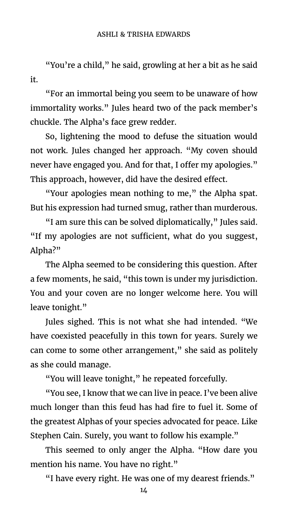"You're a child," he said, growling at her a bit as he said it.

"For an immortal being you seem to be unaware of how immortality works." Jules heard two of the pack member's chuckle. The Alpha's face grew redder.

So, lightening the mood to defuse the situation would not work. Jules changed her approach. "My coven should never have engaged you. And for that, I offer my apologies." This approach, however, did have the desired effect.

"Your apologies mean nothing to me," the Alpha spat. But his expression had turned smug, rather than murderous.

"I am sure this can be solved diplomatically," Jules said. "If my apologies are not sufficient, what do you suggest, Alpha?"

The Alpha seemed to be considering this question. After a few moments, he said, "this town is under my jurisdiction. You and your coven are no longer welcome here. You will leave tonight."

Jules sighed. This is not what she had intended. "We have coexisted peacefully in this town for years. Surely we can come to some other arrangement," she said as politely as she could manage.

"You will leave tonight," he repeated forcefully.

"You see, I know that we can live in peace. I've been alive much longer than this feud has had fire to fuel it. Some of the greatest Alphas of your species advocated for peace. Like Stephen Cain. Surely, you want to follow his example."

This seemed to only anger the Alpha. "How dare you mention his name. You have no right."

"I have every right. He was one of my dearest friends."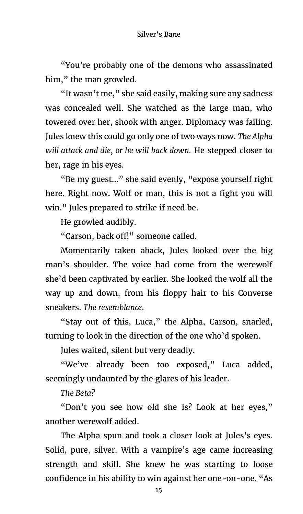"You're probably one of the demons who assassinated him," the man growled.

"It wasn't me," she said easily, making sure any sadness was concealed well. She watched as the large man, who towered over her, shook with anger. Diplomacy was failing. Jules knew this could go only one of two ways now. *The Alpha will attack and die, or he will back down.* He stepped closer to her, rage in his eyes.

"Be my guest…" she said evenly, "expose yourself right here. Right now. Wolf or man, this is not a fight you will win." Jules prepared to strike if need be.

He growled audibly.

"Carson, back off!" someone called.

Momentarily taken aback, Jules looked over the big man's shoulder. The voice had come from the werewolf she'd been captivated by earlier. She looked the wolf all the way up and down, from his floppy hair to his Converse sneakers. *The resemblance.*

"Stay out of this, Luca," the Alpha, Carson, snarled, turning to look in the direction of the one who'd spoken.

Jules waited, silent but very deadly.

"We've already been too exposed," Luca added, seemingly undaunted by the glares of his leader.

*The Beta?*

"Don't you see how old she is? Look at her eyes," another werewolf added.

The Alpha spun and took a closer look at Jules's eyes. Solid, pure, silver. With a vampire's age came increasing strength and skill. She knew he was starting to loose confidence in his ability to win against her one-on-one. "As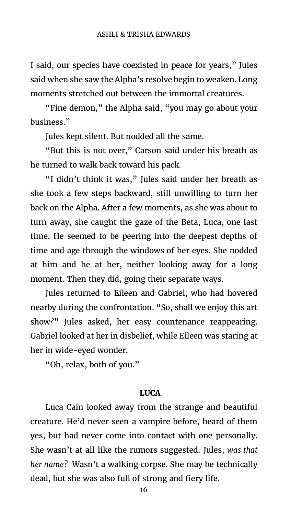I said, our species have coexisted in peace for years," Jules said when she saw the Alpha's resolve begin to weaken. Long moments stretched out between the immortal creatures.

"Fine demon," the Alpha said, "you may go about your business."

Jules kept silent. But nodded all the same.

"But this is not over," Carson said under his breath as he turned to walk back toward his pack.

"I didn't think it was," Jules said under her breath as she took a few steps backward, still unwilling to turn her back on the Alpha. After a few moments, as she was about to turn away, she caught the gaze of the Beta, Luca, one last time. He seemed to be peering into the deepest depths of time and age through the windows of her eyes. She nodded at him and he at her, neither looking away for a long moment. Then they did, going their separate ways.

Jules returned to Eileen and Gabriel, who had hovered nearby during the confrontation. "So, shall we enjoy this art show?" Jules asked, her easy countenance reappearing. Gabriel looked at her in disbelief, while Eileen was staring at her in wide-eyed wonder.

"Oh, relax, both of you."

#### **LUCA**

Luca Cain looked away from the strange and beautiful creature. He'd never seen a vampire before, heard of them yes, but had never come into contact with one personally. She wasn't at all like the rumors suggested. Jules, *was that her name?* Wasn't a walking corpse. She may be technically dead, but she was also full of strong and fiery life.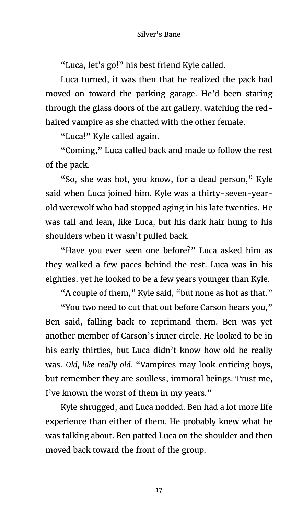"Luca, let's go!" his best friend Kyle called.

Luca turned, it was then that he realized the pack had moved on toward the parking garage. He'd been staring through the glass doors of the art gallery, watching the redhaired vampire as she chatted with the other female.

"Luca!" Kyle called again.

"Coming," Luca called back and made to follow the rest of the pack.

"So, she was hot, you know, for a dead person," Kyle said when Luca joined him. Kyle was a thirty-seven-yearold werewolf who had stopped aging in his late twenties. He was tall and lean, like Luca, but his dark hair hung to his shoulders when it wasn't pulled back.

"Have you ever seen one before?" Luca asked him as they walked a few paces behind the rest. Luca was in his eighties, yet he looked to be a few years younger than Kyle.

"A couple of them," Kyle said, "but none as hot as that."

"You two need to cut that out before Carson hears you," Ben said, falling back to reprimand them. Ben was yet another member of Carson's inner circle. He looked to be in his early thirties, but Luca didn't know how old he really was. *Old, like really old.* "Vampires may look enticing boys, but remember they are soulless, immoral beings. Trust me, I've known the worst of them in my years."

Kyle shrugged, and Luca nodded. Ben had a lot more life experience than either of them. He probably knew what he was talking about. Ben patted Luca on the shoulder and then moved back toward the front of the group.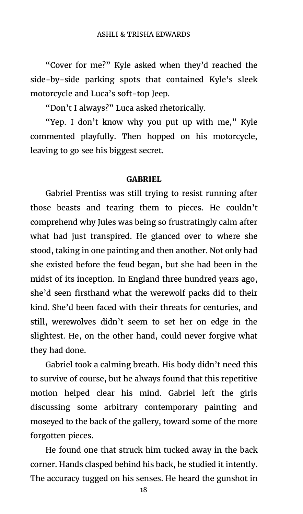"Cover for me?" Kyle asked when they'd reached the side-by-side parking spots that contained Kyle's sleek motorcycle and Luca's soft-top Jeep.

"Don't I always?" Luca asked rhetorically.

"Yep. I don't know why you put up with me," Kyle commented playfully. Then hopped on his motorcycle, leaving to go see his biggest secret.

#### **GABRIEL**

Gabriel Prentiss was still trying to resist running after those beasts and tearing them to pieces. He couldn't comprehend why Jules was being so frustratingly calm after what had just transpired. He glanced over to where she stood, taking in one painting and then another. Not only had she existed before the feud began, but she had been in the midst of its inception. In England three hundred years ago, she'd seen firsthand what the werewolf packs did to their kind. She'd been faced with their threats for centuries, and still, werewolves didn't seem to set her on edge in the slightest. He, on the other hand, could never forgive what they had done.

Gabriel took a calming breath. His body didn't need this to survive of course, but he always found that this repetitive motion helped clear his mind. Gabriel left the girls discussing some arbitrary contemporary painting and moseyed to the back of the gallery, toward some of the more forgotten pieces.

He found one that struck him tucked away in the back corner. Hands clasped behind his back, he studied it intently. The accuracy tugged on his senses. He heard the gunshot in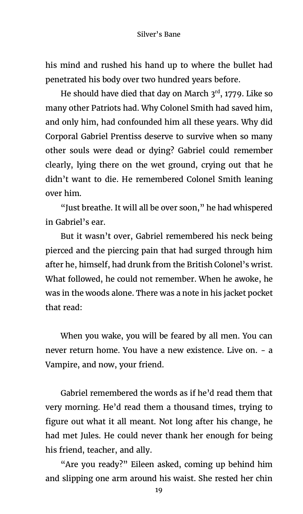his mind and rushed his hand up to where the bullet had penetrated his body over two hundred years before.

He should have died that day on March  $3<sup>rd</sup>$ , 1779. Like so many other Patriots had. Why Colonel Smith had saved him, and only him, had confounded him all these years. Why did Corporal Gabriel Prentiss deserve to survive when so many other souls were dead or dying? Gabriel could remember clearly, lying there on the wet ground, crying out that he didn't want to die. He remembered Colonel Smith leaning over him.

"Just breathe. It will all be over soon," he had whispered in Gabriel's ear.

But it wasn't over, Gabriel remembered his neck being pierced and the piercing pain that had surged through him after he, himself, had drunk from the British Colonel's wrist. What followed, he could not remember. When he awoke, he was in the woods alone. There was a note in his jacket pocket that read:

When you wake, you will be feared by all men. You can never return home. You have a new existence. Live on. - a Vampire, and now, your friend.

Gabriel remembered the words as if he'd read them that very morning. He'd read them a thousand times, trying to figure out what it all meant. Not long after his change, he had met Jules. He could never thank her enough for being his friend, teacher, and ally.

"Are you ready?" Eileen asked, coming up behind him and slipping one arm around his waist. She rested her chin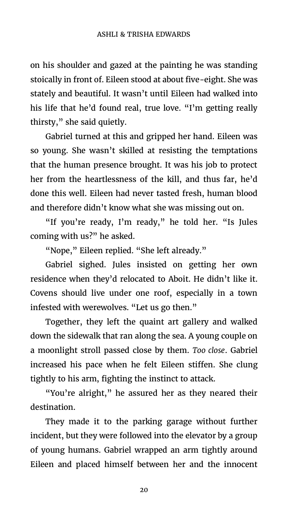#### ASHLI & TRISHA EDWARDS

on his shoulder and gazed at the painting he was standing stoically in front of. Eileen stood at about five-eight. She was stately and beautiful. It wasn't until Eileen had walked into his life that he'd found real, true love. "I'm getting really thirsty," she said quietly.

Gabriel turned at this and gripped her hand. Eileen was so young. She wasn't skilled at resisting the temptations that the human presence brought. It was his job to protect her from the heartlessness of the kill, and thus far, he'd done this well. Eileen had never tasted fresh, human blood and therefore didn't know what she was missing out on.

"If you're ready, I'm ready," he told her. "Is Jules coming with us?" he asked.

"Nope," Eileen replied. "She left already."

Gabriel sighed. Jules insisted on getting her own residence when they'd relocated to Aboit. He didn't like it. Covens should live under one roof, especially in a town infested with werewolves. "Let us go then."

Together, they left the quaint art gallery and walked down the sidewalk that ran along the sea. A young couple on a moonlight stroll passed close by them. *Too close*. Gabriel increased his pace when he felt Eileen stiffen. She clung tightly to his arm, fighting the instinct to attack.

"You're alright," he assured her as they neared their destination.

They made it to the parking garage without further incident, but they were followed into the elevator by a group of young humans. Gabriel wrapped an arm tightly around Eileen and placed himself between her and the innocent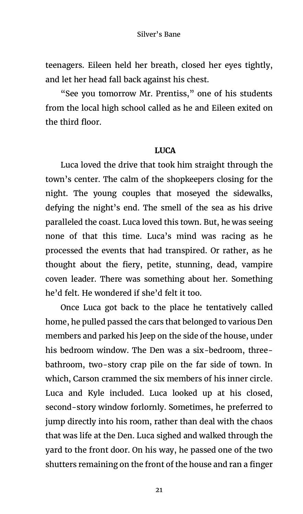teenagers. Eileen held her breath, closed her eyes tightly, and let her head fall back against his chest.

"See you tomorrow Mr. Prentiss," one of his students from the local high school called as he and Eileen exited on the third floor.

# **LUCA**

Luca loved the drive that took him straight through the town's center. The calm of the shopkeepers closing for the night. The young couples that moseyed the sidewalks, defying the night's end. The smell of the sea as his drive paralleled the coast. Luca loved this town. But, he was seeing none of that this time. Luca's mind was racing as he processed the events that had transpired. Or rather, as he thought about the fiery, petite, stunning, dead, vampire coven leader. There was something about her. Something he'd felt. He wondered if she'd felt it too.

Once Luca got back to the place he tentatively called home, he pulled passed the cars that belonged to various Den members and parked his Jeep on the side of the house, under his bedroom window. The Den was a six-bedroom, threebathroom, two-story crap pile on the far side of town. In which, Carson crammed the six members of his inner circle. Luca and Kyle included. Luca looked up at his closed, second-story window forlornly. Sometimes, he preferred to jump directly into his room, rather than deal with the chaos that was life at the Den. Luca sighed and walked through the yard to the front door. On his way, he passed one of the two shutters remaining on the front of the house and ran a finger

21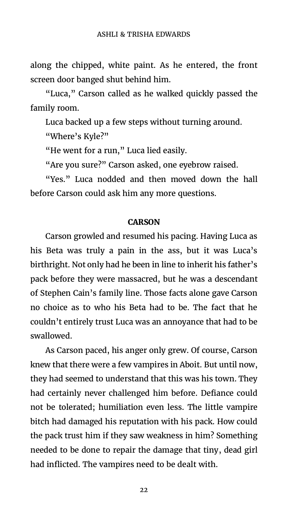along the chipped, white paint. As he entered, the front screen door banged shut behind him.

"Luca," Carson called as he walked quickly passed the family room.

Luca backed up a few steps without turning around. "Where's Kyle?"

"He went for a run," Luca lied easily.

"Are you sure?" Carson asked, one eyebrow raised.

"Yes." Luca nodded and then moved down the hall before Carson could ask him any more questions.

# **CARSON**

Carson growled and resumed his pacing. Having Luca as his Beta was truly a pain in the ass, but it was Luca's birthright. Not only had he been in line to inherit his father's pack before they were massacred, but he was a descendant of Stephen Cain's family line. Those facts alone gave Carson no choice as to who his Beta had to be. The fact that he couldn't entirely trust Luca was an annoyance that had to be swallowed.

As Carson paced, his anger only grew. Of course, Carson knew that there were a few vampires in Aboit. But until now, they had seemed to understand that this was his town. They had certainly never challenged him before. Defiance could not be tolerated; humiliation even less. The little vampire bitch had damaged his reputation with his pack. How could the pack trust him if they saw weakness in him? Something needed to be done to repair the damage that tiny, dead girl had inflicted. The vampires need to be dealt with.

22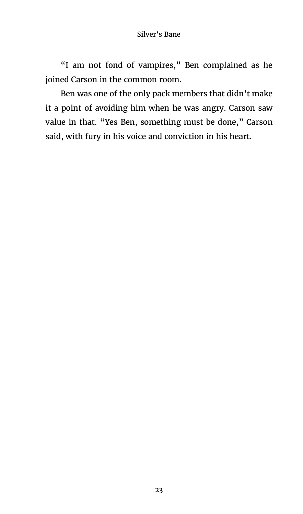"I am not fond of vampires," Ben complained as he joined Carson in the common room.

Ben was one of the only pack members that didn't make it a point of avoiding him when he was angry. Carson saw value in that. "Yes Ben, something must be done," Carson said, with fury in his voice and conviction in his heart.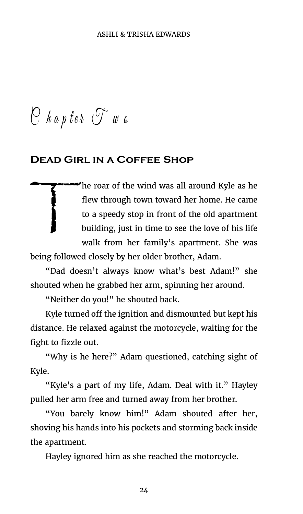$O$  hapter  $O^{\sim}$  we

# **Dead Girl in a Coffee Shop**

The roar of the wind was all around Kyle as he flew through town toward her home. He came to a speedy stop in front of the old apartment building, just in time to see the love of his life walk from her family's apartment. She was  $\begin{array}{c} \hline \end{array}$ 

being followed closely by her older brother, Adam.

"Dad doesn't always know what's best Adam!" she shouted when he grabbed her arm, spinning her around.

"Neither do you!" he shouted back.

Kyle turned off the ignition and dismounted but kept his distance. He relaxed against the motorcycle, waiting for the fight to fizzle out.

"Why is he here?" Adam questioned, catching sight of Kyle.

"Kyle's a part of my life, Adam. Deal with it." Hayley pulled her arm free and turned away from her brother.

"You barely know him!" Adam shouted after her, shoving his hands into his pockets and storming back inside the apartment.

Hayley ignored him as she reached the motorcycle.

24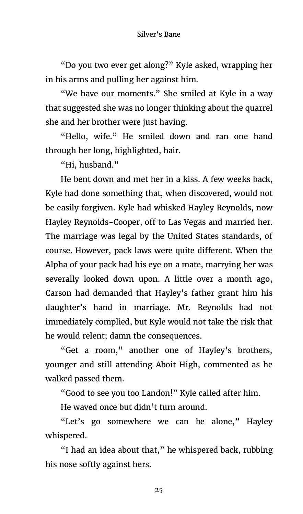"Do you two ever get along?" Kyle asked, wrapping her in his arms and pulling her against him.

"We have our moments." She smiled at Kyle in a way that suggested she was no longer thinking about the quarrel she and her brother were just having.

"Hello, wife." He smiled down and ran one hand through her long, highlighted, hair.

"Hi, husband."

He bent down and met her in a kiss. A few weeks back, Kyle had done something that, when discovered, would not be easily forgiven. Kyle had whisked Hayley Reynolds, now Hayley Reynolds-Cooper, off to Las Vegas and married her. The marriage was legal by the United States standards, of course. However, pack laws were quite different. When the Alpha of your pack had his eye on a mate, marrying her was severally looked down upon. A little over a month ago, Carson had demanded that Hayley's father grant him his daughter's hand in marriage. Mr. Reynolds had not immediately complied, but Kyle would not take the risk that he would relent; damn the consequences.

"Get a room," another one of Hayley's brothers, younger and still attending Aboit High, commented as he walked passed them.

"Good to see you too Landon!" Kyle called after him.

He waved once but didn't turn around.

"Let's go somewhere we can be alone," Hayley whispered.

"I had an idea about that," he whispered back, rubbing his nose softly against hers.

25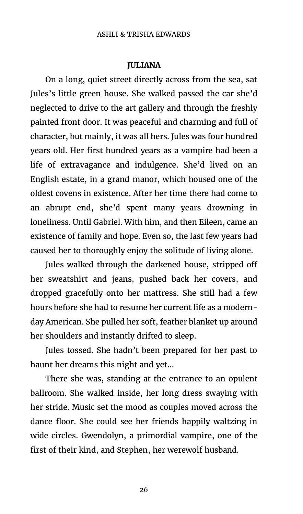#### ASHLI & TRISHA EDWARDS

### **JULIANA**

On a long, quiet street directly across from the sea, sat Jules's little green house. She walked passed the car she'd neglected to drive to the art gallery and through the freshly painted front door. It was peaceful and charming and full of character, but mainly, it was all hers. Jules was four hundred years old. Her first hundred years as a vampire had been a life of extravagance and indulgence. She'd lived on an English estate, in a grand manor, which housed one of the oldest covens in existence. After her time there had come to an abrupt end, she'd spent many years drowning in loneliness. Until Gabriel. With him, and then Eileen, came an existence of family and hope. Even so, the last few years had caused her to thoroughly enjoy the solitude of living alone.

Jules walked through the darkened house, stripped off her sweatshirt and jeans, pushed back her covers, and dropped gracefully onto her mattress. She still had a few hours before she had to resume her current life as a modernday American. She pulled her soft, feather blanket up around her shoulders and instantly drifted to sleep.

Jules tossed. She hadn't been prepared for her past to haunt her dreams this night and yet…

There she was, standing at the entrance to an opulent ballroom. She walked inside, her long dress swaying with her stride. Music set the mood as couples moved across the dance floor. She could see her friends happily waltzing in wide circles. Gwendolyn, a primordial vampire, one of the first of their kind, and Stephen, her werewolf husband.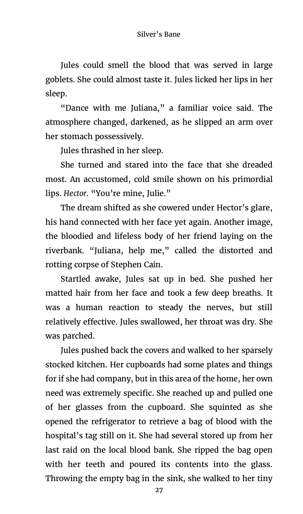Jules could smell the blood that was served in large goblets. She could almost taste it. Jules licked her lips in her sleep.

"Dance with me Juliana," a familiar voice said. The atmosphere changed, darkened, as he slipped an arm over her stomach possessively.

Jules thrashed in her sleep.

She turned and stared into the face that she dreaded most. An accustomed, cold smile shown on his primordial lips. *Hector.* "You're mine, Julie."

The dream shifted as she cowered under Hector's glare, his hand connected with her face yet again. Another image, the bloodied and lifeless body of her friend laying on the riverbank. "Juliana, help me," called the distorted and rotting corpse of Stephen Cain.

Startled awake, Jules sat up in bed. She pushed her matted hair from her face and took a few deep breaths. It was a human reaction to steady the nerves, but still relatively effective. Jules swallowed, her throat was dry. She was parched.

Jules pushed back the covers and walked to her sparsely stocked kitchen. Her cupboards had some plates and things for if she had company, but in this area of the home, her own need was extremely specific. She reached up and pulled one of her glasses from the cupboard. She squinted as she opened the refrigerator to retrieve a bag of blood with the hospital's tag still on it. She had several stored up from her last raid on the local blood bank. She ripped the bag open with her teeth and poured its contents into the glass. Throwing the empty bag in the sink, she walked to her tiny

27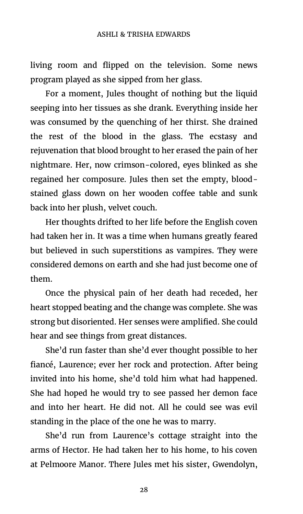living room and flipped on the television. Some news program played as she sipped from her glass.

For a moment, Jules thought of nothing but the liquid seeping into her tissues as she drank. Everything inside her was consumed by the quenching of her thirst. She drained the rest of the blood in the glass. The ecstasy and rejuvenation that blood brought to her erased the pain of her nightmare. Her, now crimson-colored, eyes blinked as she regained her composure. Jules then set the empty, bloodstained glass down on her wooden coffee table and sunk back into her plush, velvet couch.

Her thoughts drifted to her life before the English coven had taken her in. It was a time when humans greatly feared but believed in such superstitions as vampires. They were considered demons on earth and she had just become one of them.

Once the physical pain of her death had receded, her heart stopped beating and the change was complete. She was strong but disoriented. Her senses were amplified. She could hear and see things from great distances.

She'd run faster than she'd ever thought possible to her fiancé, Laurence; ever her rock and protection. After being invited into his home, she'd told him what had happened. She had hoped he would try to see passed her demon face and into her heart. He did not. All he could see was evil standing in the place of the one he was to marry.

She'd run from Laurence's cottage straight into the arms of Hector. He had taken her to his home, to his coven at Pelmoore Manor. There Jules met his sister, Gwendolyn,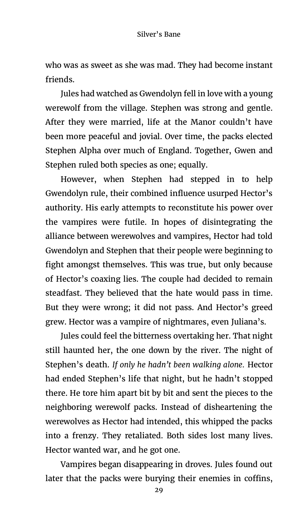who was as sweet as she was mad. They had become instant friends.

Jules had watched as Gwendolyn fell in love with a young werewolf from the village. Stephen was strong and gentle. After they were married, life at the Manor couldn't have been more peaceful and jovial. Over time, the packs elected Stephen Alpha over much of England. Together, Gwen and Stephen ruled both species as one; equally.

However, when Stephen had stepped in to help Gwendolyn rule, their combined influence usurped Hector's authority. His early attempts to reconstitute his power over the vampires were futile. In hopes of disintegrating the alliance between werewolves and vampires, Hector had told Gwendolyn and Stephen that their people were beginning to fight amongst themselves. This was true, but only because of Hector's coaxing lies. The couple had decided to remain steadfast. They believed that the hate would pass in time. But they were wrong; it did not pass. And Hector's greed grew. Hector was a vampire of nightmares, even Juliana's.

Jules could feel the bitterness overtaking her. That night still haunted her, the one down by the river. The night of Stephen's death. *If only he hadn't been walking alone.* Hector had ended Stephen's life that night, but he hadn't stopped there. He tore him apart bit by bit and sent the pieces to the neighboring werewolf packs. Instead of disheartening the werewolves as Hector had intended, this whipped the packs into a frenzy. They retaliated. Both sides lost many lives. Hector wanted war, and he got one.

Vampires began disappearing in droves. Jules found out later that the packs were burying their enemies in coffins,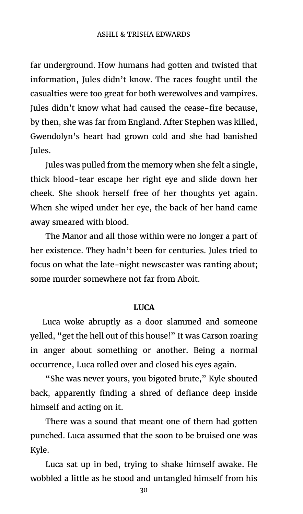#### ASHLI & TRISHA EDWARDS

far underground. How humans had gotten and twisted that information, Jules didn't know. The races fought until the casualties were too great for both werewolves and vampires. Jules didn't know what had caused the cease-fire because, by then, she was far from England. After Stephen was killed, Gwendolyn's heart had grown cold and she had banished Jules.

Jules was pulled from the memory when she felt a single, thick blood-tear escape her right eye and slide down her cheek. She shook herself free of her thoughts yet again. When she wiped under her eye, the back of her hand came away smeared with blood.

The Manor and all those within were no longer a part of her existence. They hadn't been for centuries. Jules tried to focus on what the late-night newscaster was ranting about; some murder somewhere not far from Aboit.

### **LUCA**

Luca woke abruptly as a door slammed and someone yelled, "get the hell out of this house!" It was Carson roaring in anger about something or another. Being a normal occurrence, Luca rolled over and closed his eyes again.

"She was never yours, you bigoted brute," Kyle shouted back, apparently finding a shred of defiance deep inside himself and acting on it.

There was a sound that meant one of them had gotten punched. Luca assumed that the soon to be bruised one was Kyle.

Luca sat up in bed, trying to shake himself awake. He wobbled a little as he stood and untangled himself from his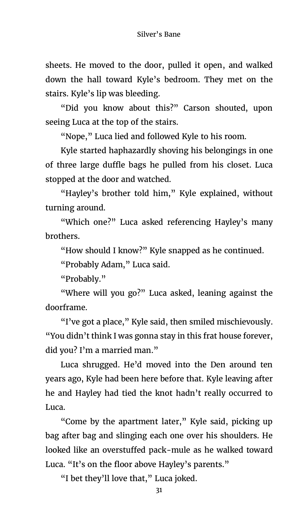sheets. He moved to the door, pulled it open, and walked down the hall toward Kyle's bedroom. They met on the stairs. Kyle's lip was bleeding.

"Did you know about this?" Carson shouted, upon seeing Luca at the top of the stairs.

"Nope," Luca lied and followed Kyle to his room.

Kyle started haphazardly shoving his belongings in one of three large duffle bags he pulled from his closet. Luca stopped at the door and watched.

"Hayley's brother told him," Kyle explained, without turning around.

"Which one?" Luca asked referencing Hayley's many brothers.

"How should I know?" Kyle snapped as he continued.

"Probably Adam," Luca said.

"Probably."

"Where will you go?" Luca asked, leaning against the doorframe.

"I've got a place," Kyle said, then smiled mischievously. "You didn't think I was gonna stay in this frat house forever, did you? I'm a married man."

Luca shrugged. He'd moved into the Den around ten years ago, Kyle had been here before that. Kyle leaving after he and Hayley had tied the knot hadn't really occurred to Luca.

"Come by the apartment later," Kyle said, picking up bag after bag and slinging each one over his shoulders. He looked like an overstuffed pack-mule as he walked toward Luca. "It's on the floor above Hayley's parents."

"I bet they'll love that," Luca joked.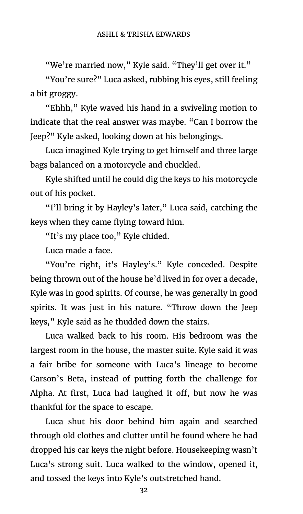"We're married now," Kyle said. "They'll get over it."

"You're sure?" Luca asked, rubbing his eyes, still feeling a bit groggy.

"Ehhh," Kyle waved his hand in a swiveling motion to indicate that the real answer was maybe. "Can I borrow the Jeep?" Kyle asked, looking down at his belongings.

Luca imagined Kyle trying to get himself and three large bags balanced on a motorcycle and chuckled.

Kyle shifted until he could dig the keys to his motorcycle out of his pocket.

"I'll bring it by Hayley's later," Luca said, catching the keys when they came flying toward him.

"It's my place too," Kyle chided.

Luca made a face.

"You're right, it's Hayley's." Kyle conceded. Despite being thrown out of the house he'd lived in for over a decade, Kyle was in good spirits. Of course, he was generally in good spirits. It was just in his nature. "Throw down the Jeep keys," Kyle said as he thudded down the stairs.

Luca walked back to his room. His bedroom was the largest room in the house, the master suite. Kyle said it was a fair bribe for someone with Luca's lineage to become Carson's Beta, instead of putting forth the challenge for Alpha. At first, Luca had laughed it off, but now he was thankful for the space to escape.

Luca shut his door behind him again and searched through old clothes and clutter until he found where he had dropped his car keys the night before. Housekeeping wasn't Luca's strong suit. Luca walked to the window, opened it, and tossed the keys into Kyle's outstretched hand.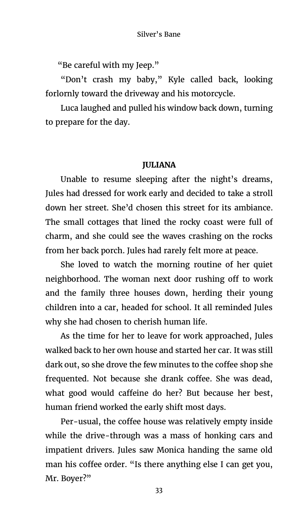"Be careful with my Jeep."

"Don't crash my baby," Kyle called back, looking forlornly toward the driveway and his motorcycle.

Luca laughed and pulled his window back down, turning to prepare for the day.

### **JULIANA**

Unable to resume sleeping after the night's dreams, Jules had dressed for work early and decided to take a stroll down her street. She'd chosen this street for its ambiance. The small cottages that lined the rocky coast were full of charm, and she could see the waves crashing on the rocks from her back porch. Jules had rarely felt more at peace.

She loved to watch the morning routine of her quiet neighborhood. The woman next door rushing off to work and the family three houses down, herding their young children into a car, headed for school. It all reminded Jules why she had chosen to cherish human life.

As the time for her to leave for work approached, Jules walked back to her own house and started her car. It was still dark out, so she drove the few minutes to the coffee shop she frequented. Not because she drank coffee. She was dead, what good would caffeine do her? But because her best, human friend worked the early shift most days.

Per-usual, the coffee house was relatively empty inside while the drive-through was a mass of honking cars and impatient drivers. Jules saw Monica handing the same old man his coffee order. "Is there anything else I can get you, Mr. Boyer?"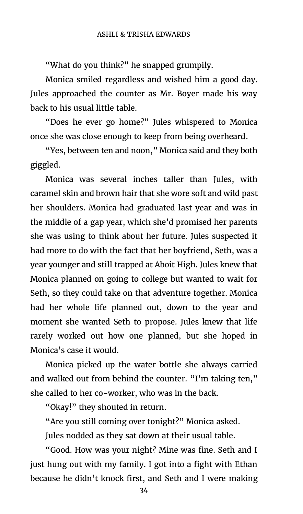"What do you think?" he snapped grumpily.

Monica smiled regardless and wished him a good day. Jules approached the counter as Mr. Boyer made his way back to his usual little table.

"Does he ever go home?" Jules whispered to Monica once she was close enough to keep from being overheard.

"Yes, between ten and noon," Monica said and they both giggled.

Monica was several inches taller than Jules, with caramel skin and brown hair that she wore soft and wild past her shoulders. Monica had graduated last year and was in the middle of a gap year, which she'd promised her parents she was using to think about her future. Jules suspected it had more to do with the fact that her boyfriend, Seth, was a year younger and still trapped at Aboit High. Jules knew that Monica planned on going to college but wanted to wait for Seth, so they could take on that adventure together. Monica had her whole life planned out, down to the year and moment she wanted Seth to propose. Jules knew that life rarely worked out how one planned, but she hoped in Monica's case it would.

Monica picked up the water bottle she always carried and walked out from behind the counter. "I'm taking ten," she called to her co-worker, who was in the back.

"Okay!" they shouted in return.

"Are you still coming over tonight?" Monica asked.

Jules nodded as they sat down at their usual table.

"Good. How was your night? Mine was fine. Seth and I just hung out with my family. I got into a fight with Ethan because he didn't knock first, and Seth and I were making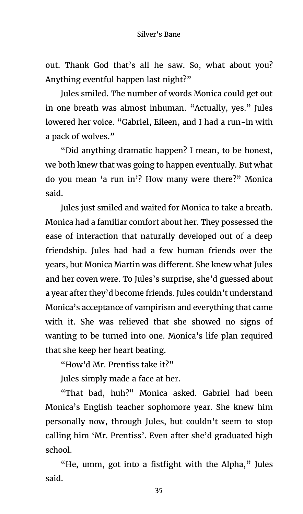out. Thank God that's all he saw. So, what about you? Anything eventful happen last night?"

Jules smiled. The number of words Monica could get out in one breath was almost inhuman. "Actually, yes." Jules lowered her voice. "Gabriel, Eileen, and I had a run-in with a pack of wolves."

"Did anything dramatic happen? I mean, to be honest, we both knew that was going to happen eventually. But what do you mean 'a run in'? How many were there?" Monica said.

Jules just smiled and waited for Monica to take a breath. Monica had a familiar comfort about her. They possessed the ease of interaction that naturally developed out of a deep friendship. Jules had had a few human friends over the years, but Monica Martin was different. She knew what Jules and her coven were. To Jules's surprise, she'd guessed about a year after they'd become friends. Jules couldn't understand Monica's acceptance of vampirism and everything that came with it. She was relieved that she showed no signs of wanting to be turned into one. Monica's life plan required that she keep her heart beating.

"How'd Mr. Prentiss take it?"

Jules simply made a face at her.

"That bad, huh?" Monica asked. Gabriel had been Monica's English teacher sophomore year. She knew him personally now, through Jules, but couldn't seem to stop calling him 'Mr. Prentiss'. Even after she'd graduated high school.

"He, umm, got into a fistfight with the Alpha," Jules said.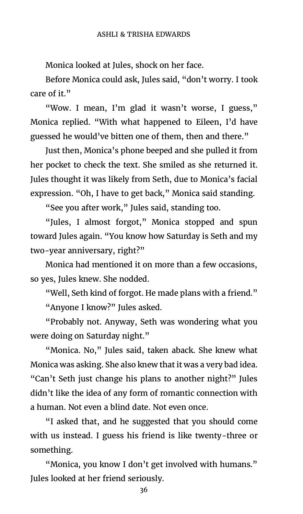Monica looked at Jules, shock on her face.

Before Monica could ask, Jules said, "don't worry. I took care of it."

"Wow. I mean, I'm glad it wasn't worse, I guess," Monica replied. "With what happened to Eileen, I'd have guessed he would've bitten one of them, then and there."

Just then, Monica's phone beeped and she pulled it from her pocket to check the text. She smiled as she returned it. Jules thought it was likely from Seth, due to Monica's facial expression. "Oh, I have to get back," Monica said standing.

"See you after work," Jules said, standing too.

"Jules, I almost forgot," Monica stopped and spun toward Jules again. "You know how Saturday is Seth and my two-year anniversary, right?"

Monica had mentioned it on more than a few occasions, so yes, Jules knew. She nodded.

"Well, Seth kind of forgot. He made plans with a friend." "Anyone I know?" Jules asked.

"Probably not. Anyway, Seth was wondering what you were doing on Saturday night."

"Monica. No," Jules said, taken aback. She knew what Monica was asking. She also knew that it was a very bad idea. "Can't Seth just change his plans to another night?" Jules didn't like the idea of any form of romantic connection with a human. Not even a blind date. Not even once.

"I asked that, and he suggested that you should come with us instead. I guess his friend is like twenty-three or something.

"Monica, you know I don't get involved with humans." Jules looked at her friend seriously.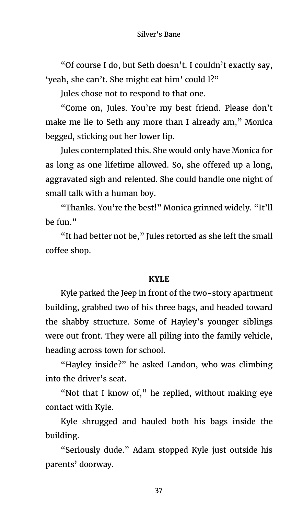"Of course I do, but Seth doesn't. I couldn't exactly say, 'yeah, she can't. She might eat him' could I?"

Jules chose not to respond to that one.

"Come on, Jules. You're my best friend. Please don't make me lie to Seth any more than I already am," Monica begged, sticking out her lower lip.

Jules contemplated this. She would only have Monica for as long as one lifetime allowed. So, she offered up a long, aggravated sigh and relented. She could handle one night of small talk with a human boy.

"Thanks. You're the best!" Monica grinned widely. "It'll be fun."

"It had better not be," Jules retorted as she left the small coffee shop.

# **KYLE**

Kyle parked the Jeep in front of the two-story apartment building, grabbed two of his three bags, and headed toward the shabby structure. Some of Hayley's younger siblings were out front. They were all piling into the family vehicle, heading across town for school.

"Hayley inside?" he asked Landon, who was climbing into the driver's seat.

"Not that I know of," he replied, without making eye contact with Kyle.

Kyle shrugged and hauled both his bags inside the building.

"Seriously dude." Adam stopped Kyle just outside his parents' doorway.

37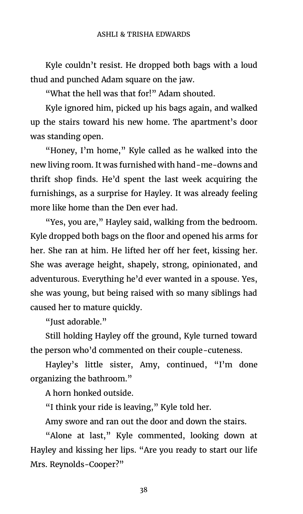#### ASHLI & TRISHA EDWARDS

Kyle couldn't resist. He dropped both bags with a loud thud and punched Adam square on the jaw.

"What the hell was that for!" Adam shouted.

Kyle ignored him, picked up his bags again, and walked up the stairs toward his new home. The apartment's door was standing open.

"Honey, I'm home," Kyle called as he walked into the new living room. It was furnished with hand-me-downs and thrift shop finds. He'd spent the last week acquiring the furnishings, as a surprise for Hayley. It was already feeling more like home than the Den ever had.

"Yes, you are," Hayley said, walking from the bedroom. Kyle dropped both bags on the floor and opened his arms for her. She ran at him. He lifted her off her feet, kissing her. She was average height, shapely, strong, opinionated, and adventurous. Everything he'd ever wanted in a spouse. Yes, she was young, but being raised with so many siblings had caused her to mature quickly.

"Just adorable."

Still holding Hayley off the ground, Kyle turned toward the person who'd commented on their couple-cuteness.

Hayley's little sister, Amy, continued, "I'm done organizing the bathroom."

A horn honked outside.

"I think your ride is leaving," Kyle told her.

Amy swore and ran out the door and down the stairs.

"Alone at last," Kyle commented, looking down at Hayley and kissing her lips. "Are you ready to start our life Mrs. Reynolds-Cooper?"

38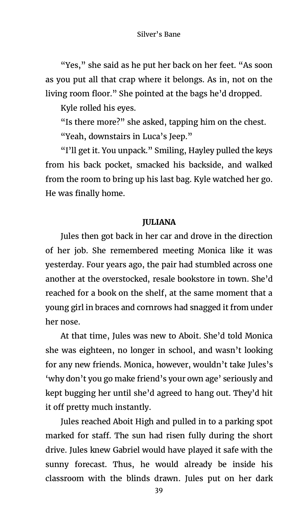"Yes," she said as he put her back on her feet. "As soon as you put all that crap where it belongs. As in, not on the living room floor." She pointed at the bags he'd dropped.

Kyle rolled his eyes.

"Is there more?" she asked, tapping him on the chest. "Yeah, downstairs in Luca's Jeep."

"I'll get it. You unpack." Smiling, Hayley pulled the keys from his back pocket, smacked his backside, and walked from the room to bring up his last bag. Kyle watched her go. He was finally home.

# **JULIANA**

Jules then got back in her car and drove in the direction of her job. She remembered meeting Monica like it was yesterday. Four years ago, the pair had stumbled across one another at the overstocked, resale bookstore in town. She'd reached for a book on the shelf, at the same moment that a young girl in braces and cornrows had snagged it from under her nose.

At that time, Jules was new to Aboit. She'd told Monica she was eighteen, no longer in school, and wasn't looking for any new friends. Monica, however, wouldn't take Jules's 'why don't you go make friend's your own age' seriously and kept bugging her until she'd agreed to hang out. They'd hit it off pretty much instantly.

Jules reached Aboit High and pulled in to a parking spot marked for staff. The sun had risen fully during the short drive. Jules knew Gabriel would have played it safe with the sunny forecast. Thus, he would already be inside his classroom with the blinds drawn. Jules put on her dark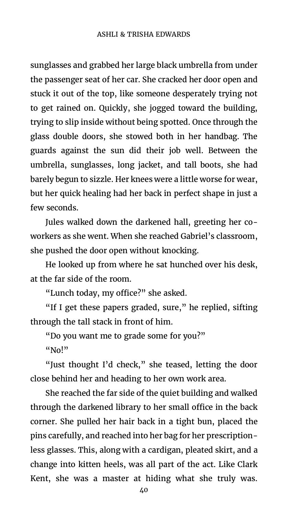sunglasses and grabbed her large black umbrella from under the passenger seat of her car. She cracked her door open and stuck it out of the top, like someone desperately trying not to get rained on. Quickly, she jogged toward the building, trying to slip inside without being spotted. Once through the glass double doors, she stowed both in her handbag. The guards against the sun did their job well. Between the umbrella, sunglasses, long jacket, and tall boots, she had barely begun to sizzle. Her knees were a little worse for wear, but her quick healing had her back in perfect shape in just a few seconds.

Jules walked down the darkened hall, greeting her coworkers as she went. When she reached Gabriel's classroom, she pushed the door open without knocking.

He looked up from where he sat hunched over his desk, at the far side of the room.

"Lunch today, my office?" she asked.

"If I get these papers graded, sure," he replied, sifting through the tall stack in front of him.

"Do you want me to grade some for you?" "No!"

"Just thought I'd check," she teased, letting the door close behind her and heading to her own work area.

She reached the far side of the quiet building and walked through the darkened library to her small office in the back corner. She pulled her hair back in a tight bun, placed the pins carefully, and reached into her bag for her prescriptionless glasses. This, along with a cardigan, pleated skirt, and a change into kitten heels, was all part of the act. Like Clark Kent, she was a master at hiding what she truly was.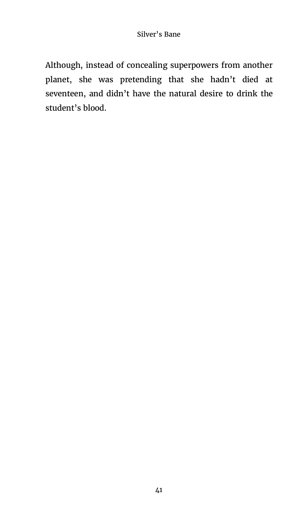Although, instead of concealing superpowers from another planet, she was pretending that she hadn't died at seventeen, and didn't have the natural desire to drink the student's blood.